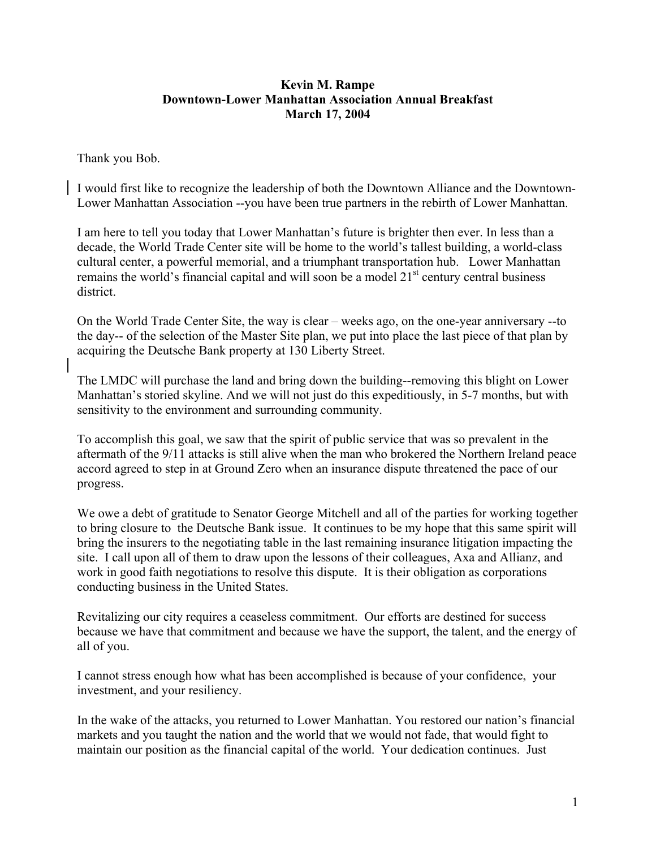## **Kevin M. Rampe Downtown-Lower Manhattan Association Annual Breakfast March 17, 2004**

Thank you Bob.

I would first like to recognize the leadership of both the Downtown Alliance and the Downtown-Lower Manhattan Association --you have been true partners in the rebirth of Lower Manhattan.

I am here to tell you today that Lower Manhattan's future is brighter then ever. In less than a decade, the World Trade Center site will be home to the world's tallest building, a world-class cultural center, a powerful memorial, and a triumphant transportation hub. Lower Manhattan remains the world's financial capital and will soon be a model  $21<sup>st</sup>$  century central business district.

On the World Trade Center Site, the way is clear – weeks ago, on the one-year anniversary --to the day-- of the selection of the Master Site plan, we put into place the last piece of that plan by acquiring the Deutsche Bank property at 130 Liberty Street.

The LMDC will purchase the land and bring down the building--removing this blight on Lower Manhattan's storied skyline. And we will not just do this expeditiously, in 5-7 months, but with sensitivity to the environment and surrounding community.

To accomplish this goal, we saw that the spirit of public service that was so prevalent in the aftermath of the 9/11 attacks is still alive when the man who brokered the Northern Ireland peace accord agreed to step in at Ground Zero when an insurance dispute threatened the pace of our progress.

We owe a debt of gratitude to Senator George Mitchell and all of the parties for working together to bring closure to the Deutsche Bank issue. It continues to be my hope that this same spirit will bring the insurers to the negotiating table in the last remaining insurance litigation impacting the site. I call upon all of them to draw upon the lessons of their colleagues, Axa and Allianz, and work in good faith negotiations to resolve this dispute. It is their obligation as corporations conducting business in the United States.

Revitalizing our city requires a ceaseless commitment. Our efforts are destined for success because we have that commitment and because we have the support, the talent, and the energy of all of you.

I cannot stress enough how what has been accomplished is because of your confidence, your investment, and your resiliency.

In the wake of the attacks, you returned to Lower Manhattan. You restored our nation's financial markets and you taught the nation and the world that we would not fade, that would fight to maintain our position as the financial capital of the world. Your dedication continues. Just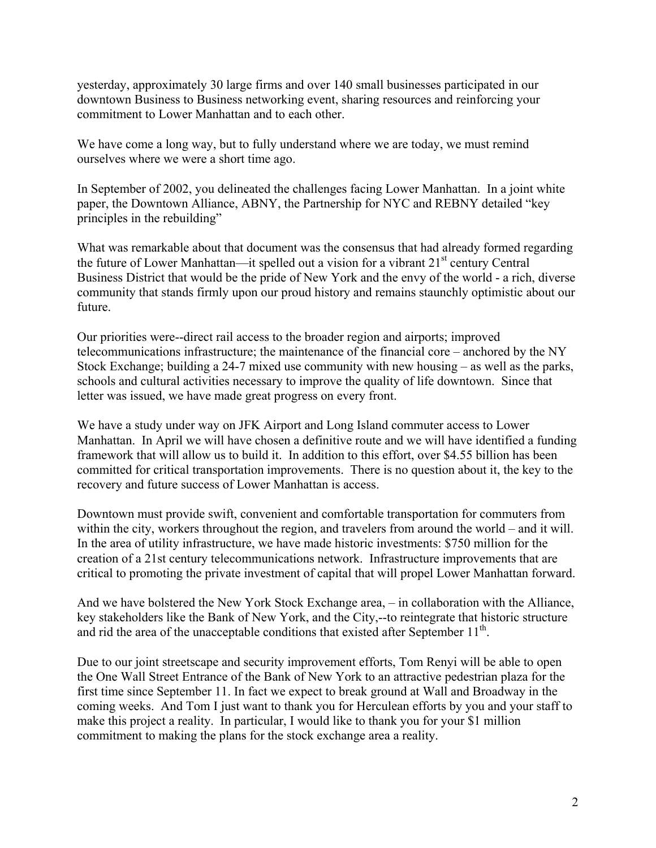yesterday, approximately 30 large firms and over 140 small businesses participated in our downtown Business to Business networking event, sharing resources and reinforcing your commitment to Lower Manhattan and to each other.

We have come a long way, but to fully understand where we are today, we must remind ourselves where we were a short time ago.

In September of 2002, you delineated the challenges facing Lower Manhattan. In a joint white paper, the Downtown Alliance, ABNY, the Partnership for NYC and REBNY detailed "key principles in the rebuilding"

What was remarkable about that document was the consensus that had already formed regarding the future of Lower Manhattan—it spelled out a vision for a vibrant  $21<sup>st</sup>$  century Central Business District that would be the pride of New York and the envy of the world - a rich, diverse community that stands firmly upon our proud history and remains staunchly optimistic about our future.

Our priorities were--direct rail access to the broader region and airports; improved telecommunications infrastructure; the maintenance of the financial core – anchored by the NY Stock Exchange; building a 24-7 mixed use community with new housing – as well as the parks, schools and cultural activities necessary to improve the quality of life downtown. Since that letter was issued, we have made great progress on every front.

We have a study under way on JFK Airport and Long Island commuter access to Lower Manhattan. In April we will have chosen a definitive route and we will have identified a funding framework that will allow us to build it. In addition to this effort, over \$4.55 billion has been committed for critical transportation improvements. There is no question about it, the key to the recovery and future success of Lower Manhattan is access.

Downtown must provide swift, convenient and comfortable transportation for commuters from within the city, workers throughout the region, and travelers from around the world – and it will. In the area of utility infrastructure, we have made historic investments: \$750 million for the creation of a 21st century telecommunications network. Infrastructure improvements that are critical to promoting the private investment of capital that will propel Lower Manhattan forward.

And we have bolstered the New York Stock Exchange area, – in collaboration with the Alliance, key stakeholders like the Bank of New York, and the City,--to reintegrate that historic structure and rid the area of the unacceptable conditions that existed after September  $11<sup>th</sup>$ .

Due to our joint streetscape and security improvement efforts, Tom Renyi will be able to open the One Wall Street Entrance of the Bank of New York to an attractive pedestrian plaza for the first time since September 11. In fact we expect to break ground at Wall and Broadway in the coming weeks. And Tom I just want to thank you for Herculean efforts by you and your staff to make this project a reality. In particular, I would like to thank you for your \$1 million commitment to making the plans for the stock exchange area a reality.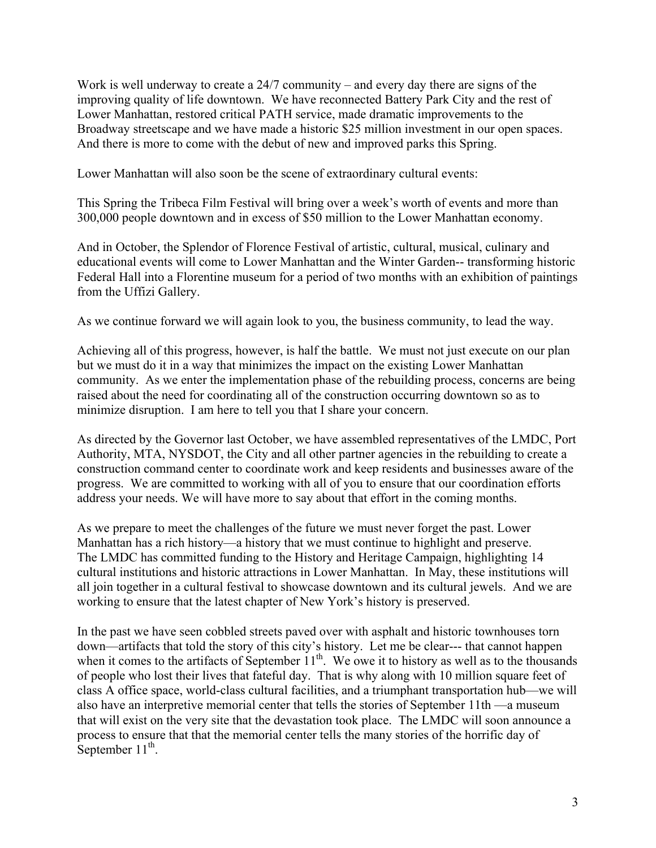Work is well underway to create a  $24/7$  community – and every day there are signs of the improving quality of life downtown. We have reconnected Battery Park City and the rest of Lower Manhattan, restored critical PATH service, made dramatic improvements to the Broadway streetscape and we have made a historic \$25 million investment in our open spaces. And there is more to come with the debut of new and improved parks this Spring.

Lower Manhattan will also soon be the scene of extraordinary cultural events:

This Spring the Tribeca Film Festival will bring over a week's worth of events and more than 300,000 people downtown and in excess of \$50 million to the Lower Manhattan economy.

And in October, the Splendor of Florence Festival of artistic, cultural, musical, culinary and educational events will come to Lower Manhattan and the Winter Garden-- transforming historic Federal Hall into a Florentine museum for a period of two months with an exhibition of paintings from the Uffizi Gallery.

As we continue forward we will again look to you, the business community, to lead the way.

Achieving all of this progress, however, is half the battle. We must not just execute on our plan but we must do it in a way that minimizes the impact on the existing Lower Manhattan community. As we enter the implementation phase of the rebuilding process, concerns are being raised about the need for coordinating all of the construction occurring downtown so as to minimize disruption. I am here to tell you that I share your concern.

As directed by the Governor last October, we have assembled representatives of the LMDC, Port Authority, MTA, NYSDOT, the City and all other partner agencies in the rebuilding to create a construction command center to coordinate work and keep residents and businesses aware of the progress. We are committed to working with all of you to ensure that our coordination efforts address your needs. We will have more to say about that effort in the coming months.

As we prepare to meet the challenges of the future we must never forget the past. Lower Manhattan has a rich history—a history that we must continue to highlight and preserve. The LMDC has committed funding to the History and Heritage Campaign, highlighting 14 cultural institutions and historic attractions in Lower Manhattan. In May, these institutions will all join together in a cultural festival to showcase downtown and its cultural jewels. And we are working to ensure that the latest chapter of New York's history is preserved.

In the past we have seen cobbled streets paved over with asphalt and historic townhouses torn down—artifacts that told the story of this city's history. Let me be clear--- that cannot happen when it comes to the artifacts of September  $11<sup>th</sup>$ . We owe it to history as well as to the thousands of people who lost their lives that fateful day. That is why along with 10 million square feet of class A office space, world-class cultural facilities, and a triumphant transportation hub—we will also have an interpretive memorial center that tells the stories of September 11th —a museum that will exist on the very site that the devastation took place. The LMDC will soon announce a process to ensure that that the memorial center tells the many stories of the horrific day of September  $11^{th}$ .